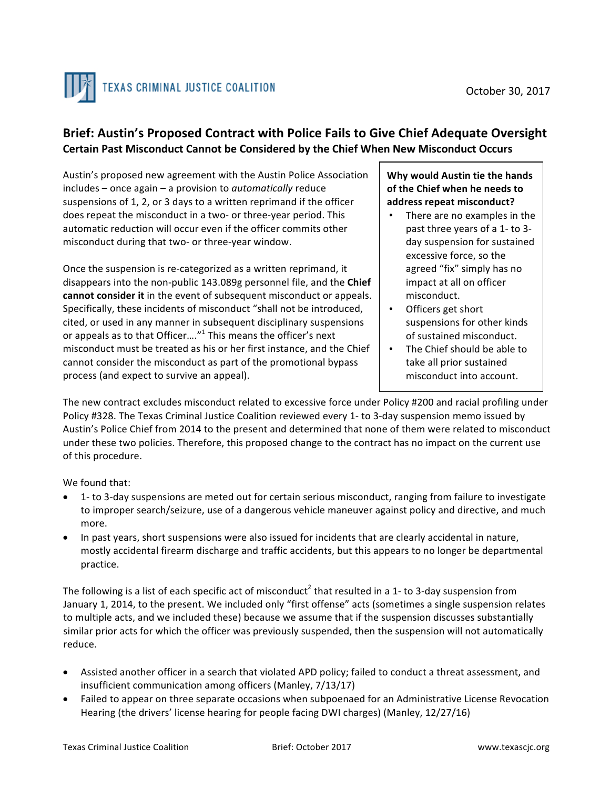

## Brief: Austin's Proposed Contract with Police Fails to Give Chief Adequate Oversight **Certain Past Misconduct Cannot be Considered by the Chief When New Misconduct Occurs**

Austin's proposed new agreement with the Austin Police Association includes – once again – a provision to *automatically* reduce suspensions of 1, 2, or 3 days to a written reprimand if the officer does repeat the misconduct in a two- or three-year period. This automatic reduction will occur even if the officer commits other misconduct during that two- or three-year window.

Once the suspension is re-categorized as a written reprimand, it disappears into the non-public 143.089g personnel file, and the Chief **cannot consider it** in the event of subsequent misconduct or appeals. Specifically, these incidents of misconduct "shall not be introduced, cited, or used in any manner in subsequent disciplinary suspensions or appeals as to that Officer...."<sup>1</sup> This means the officer's next misconduct must be treated as his or her first instance, and the Chief cannot consider the misconduct as part of the promotional bypass process (and expect to survive an appeal).

## **Why would Austin tie the hands** of the Chief when he needs to address repeat misconduct?

- There are no examples in the past three years of a 1- to 3day suspension for sustained excessive force, so the agreed "fix" simply has no impact at all on officer misconduct.
- Officers get short suspensions for other kinds of sustained misconduct.
- The Chief should be able to take all prior sustained misconduct into account.

The new contract excludes misconduct related to excessive force under Policy #200 and racial profiling under Policy #328. The Texas Criminal Justice Coalition reviewed every 1- to 3-day suspension memo issued by Austin's Police Chief from 2014 to the present and determined that none of them were related to misconduct under these two policies. Therefore, this proposed change to the contract has no impact on the current use of this procedure.

We found that:

- 1- to 3-day suspensions are meted out for certain serious misconduct, ranging from failure to investigate to improper search/seizure, use of a dangerous vehicle maneuver against policy and directive, and much more.
- In past years, short suspensions were also issued for incidents that are clearly accidental in nature, mostly accidental firearm discharge and traffic accidents, but this appears to no longer be departmental practice.

The following is a list of each specific act of misconduct<sup>2</sup> that resulted in a 1- to 3-day suspension from January 1, 2014, to the present. We included only "first offense" acts (sometimes a single suspension relates to multiple acts, and we included these) because we assume that if the suspension discusses substantially similar prior acts for which the officer was previously suspended, then the suspension will not automatically reduce.

- Assisted another officer in a search that violated APD policy; failed to conduct a threat assessment, and insufficient communication among officers (Manley,  $7/13/17$ )
- Failed to appear on three separate occasions when subpoenaed for an Administrative License Revocation Hearing (the drivers' license hearing for people facing DWI charges) (Manley, 12/27/16)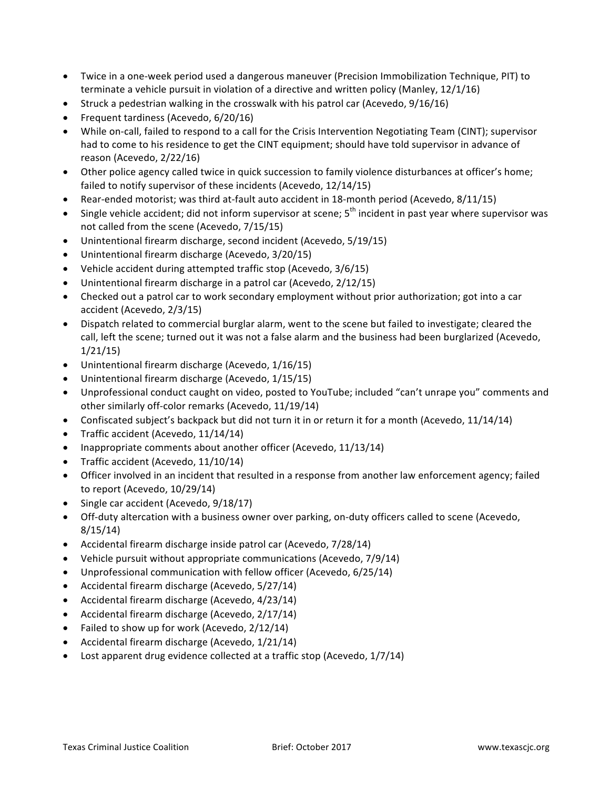- Twice in a one-week period used a dangerous maneuver (Precision Immobilization Technique, PIT) to terminate a vehicle pursuit in violation of a directive and written policy (Manley,  $12/1/16$ )
- Struck a pedestrian walking in the crosswalk with his patrol car (Acevedo, 9/16/16)
- Frequent tardiness (Acevedo, 6/20/16)
- While on-call, failed to respond to a call for the Crisis Intervention Negotiating Team (CINT); supervisor had to come to his residence to get the CINT equipment; should have told supervisor in advance of reason (Acevedo, 2/22/16)
- Other police agency called twice in quick succession to family violence disturbances at officer's home; failed to notify supervisor of these incidents (Acevedo, 12/14/15)
- Rear-ended motorist; was third at-fault auto accident in 18-month period (Acevedo, 8/11/15)
- Single vehicle accident; did not inform supervisor at scene;  $5<sup>th</sup>$  incident in past year where supervisor was not called from the scene (Acevedo, 7/15/15)
- Unintentional firearm discharge, second incident (Acevedo, 5/19/15)
- Unintentional firearm discharge (Acevedo, 3/20/15)
- Vehicle accident during attempted traffic stop (Acevedo, 3/6/15)
- Unintentional firearm discharge in a patrol car (Acevedo, 2/12/15)
- Checked out a patrol car to work secondary employment without prior authorization; got into a car accident (Acevedo, 2/3/15)
- Dispatch related to commercial burglar alarm, went to the scene but failed to investigate; cleared the call, left the scene; turned out it was not a false alarm and the business had been burglarized (Acevedo, 1/21/15)
- Unintentional firearm discharge (Acevedo,  $1/16/15$ )
- Unintentional firearm discharge (Acevedo, 1/15/15)
- Unprofessional conduct caught on video, posted to YouTube; included "can't unrape you" comments and other similarly off-color remarks (Acevedo, 11/19/14)
- Confiscated subject's backpack but did not turn it in or return it for a month (Acevedo, 11/14/14)
- Traffic accident (Acevedo, 11/14/14)
- Inappropriate comments about another officer (Acevedo, 11/13/14)
- Traffic accident (Acevedo, 11/10/14)
- Officer involved in an incident that resulted in a response from another law enforcement agency; failed to report (Acevedo, 10/29/14)
- Single car accident (Acevedo, 9/18/17)
- Off-duty altercation with a business owner over parking, on-duty officers called to scene (Acevedo, 8/15/14)
- Accidental firearm discharge inside patrol car (Acevedo,  $7/28/14$ )
- Vehicle pursuit without appropriate communications (Acevedo, 7/9/14)
- Unprofessional communication with fellow officer (Acevedo, 6/25/14)
- Accidental firearm discharge (Acevedo, 5/27/14)
- Accidental firearm discharge (Acevedo, 4/23/14)
- Accidental firearm discharge (Acevedo,  $2/17/14$ )
- Failed to show up for work (Acevedo,  $2/12/14$ )
- Accidental firearm discharge (Acevedo,  $1/21/14$ )
- Lost apparent drug evidence collected at a traffic stop (Acevedo,  $1/7/14$ )